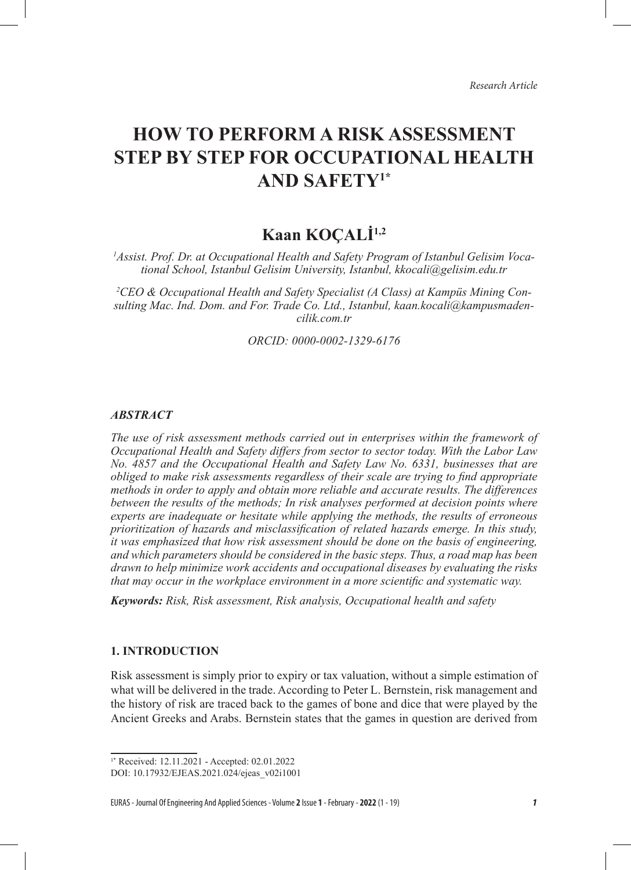# **HOW TO PERFORM A RISK ASSESSMENT STEP BY STEP FOR OCCUPATIONAL HEALTH AND SAFETY1\***

## **Kaan KOÇALİ1,2**

*1 Assist. Prof. Dr. at Occupational Health and Safety Program of Istanbul Gelisim Vocational School, Istanbul Gelisim University, Istanbul, kkocali@gelisim.edu.tr*

*2 CEO & Occupational Health and Safety Specialist (A Class) at Kampüs Mining Consulting Mac. Ind. Dom. and For. Trade Co. Ltd., Istanbul, kaan.kocali@kampusmadencilik.com.tr*

*ORCID: 0000-0002-1329-6176*

#### *ABSTRACT*

*The use of risk assessment methods carried out in enterprises within the framework of Occupational Health and Safety differs from sector to sector today. With the Labor Law No. 4857 and the Occupational Health and Safety Law No. 6331, businesses that are obliged to make risk assessments regardless of their scale are trying to find appropriate methods in order to apply and obtain more reliable and accurate results. The differences between the results of the methods; In risk analyses performed at decision points where experts are inadequate or hesitate while applying the methods, the results of erroneous prioritization of hazards and misclassification of related hazards emerge. In this study, it was emphasized that how risk assessment should be done on the basis of engineering, and which parameters should be considered in the basic steps. Thus, a road map has been drawn to help minimize work accidents and occupational diseases by evaluating the risks that may occur in the workplace environment in a more scientific and systematic way.*

*Keywords: Risk, Risk assessment, Risk analysis, Occupational health and safety*

## **1. INTRODUCTION**

Risk assessment is simply prior to expiry or tax valuation, without a simple estimation of what will be delivered in the trade. According to Peter L. Bernstein, risk management and the history of risk are traced back to the games of bone and dice that were played by the Ancient Greeks and Arabs. Bernstein states that the games in question are derived from

EURAS - Journal Of Engineering And Applied Sciences - Volume **2** Issue **1** - February - **2022** (1 - 19) *1*

<sup>1</sup>\* Received: 12.11.2021 - Accepted: 02.01.2022

DOI: 10.17932/EJEAS.2021.024/ejeas\_v02i1001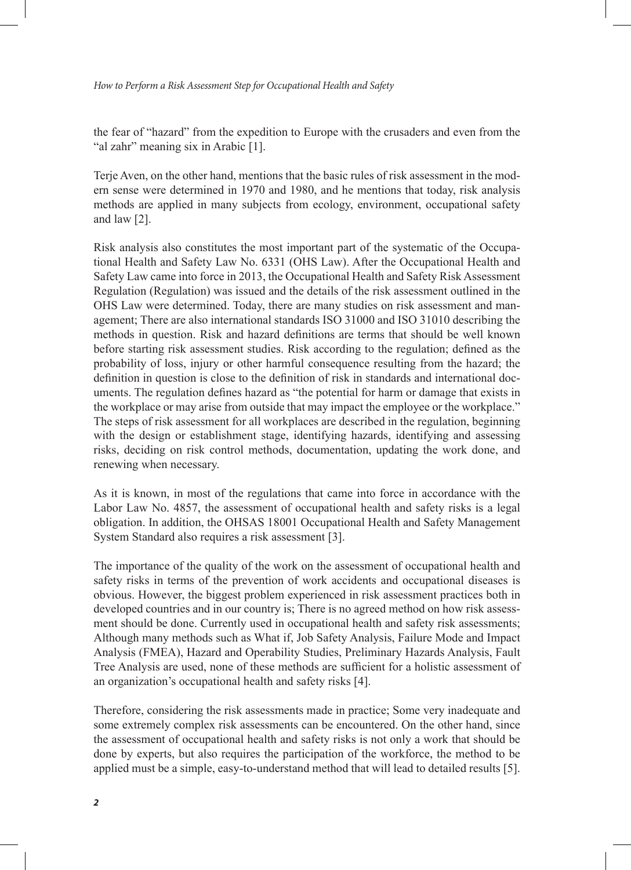the fear of "hazard" from the expedition to Europe with the crusaders and even from the "al zahr" meaning six in Arabic [1].

Terje Aven, on the other hand, mentions that the basic rules of risk assessment in the modern sense were determined in 1970 and 1980, and he mentions that today, risk analysis methods are applied in many subjects from ecology, environment, occupational safety and law [2].

Risk analysis also constitutes the most important part of the systematic of the Occupational Health and Safety Law No. 6331 (OHS Law). After the Occupational Health and Safety Law came into force in 2013, the Occupational Health and Safety Risk Assessment Regulation (Regulation) was issued and the details of the risk assessment outlined in the OHS Law were determined. Today, there are many studies on risk assessment and management; There are also international standards ISO 31000 and ISO 31010 describing the methods in question. Risk and hazard definitions are terms that should be well known before starting risk assessment studies. Risk according to the regulation; defined as the probability of loss, injury or other harmful consequence resulting from the hazard; the definition in question is close to the definition of risk in standards and international documents. The regulation defines hazard as "the potential for harm or damage that exists in the workplace or may arise from outside that may impact the employee or the workplace." The steps of risk assessment for all workplaces are described in the regulation, beginning with the design or establishment stage, identifying hazards, identifying and assessing risks, deciding on risk control methods, documentation, updating the work done, and renewing when necessary.

As it is known, in most of the regulations that came into force in accordance with the Labor Law No. 4857, the assessment of occupational health and safety risks is a legal obligation. In addition, the OHSAS 18001 Occupational Health and Safety Management System Standard also requires a risk assessment [3].

The importance of the quality of the work on the assessment of occupational health and safety risks in terms of the prevention of work accidents and occupational diseases is obvious. However, the biggest problem experienced in risk assessment practices both in developed countries and in our country is; There is no agreed method on how risk assessment should be done. Currently used in occupational health and safety risk assessments; Although many methods such as What if, Job Safety Analysis, Failure Mode and Impact Analysis (FMEA), Hazard and Operability Studies, Preliminary Hazards Analysis, Fault Tree Analysis are used, none of these methods are sufficient for a holistic assessment of an organization's occupational health and safety risks [4].

Therefore, considering the risk assessments made in practice; Some very inadequate and some extremely complex risk assessments can be encountered. On the other hand, since the assessment of occupational health and safety risks is not only a work that should be done by experts, but also requires the participation of the workforce, the method to be applied must be a simple, easy-to-understand method that will lead to detailed results [5].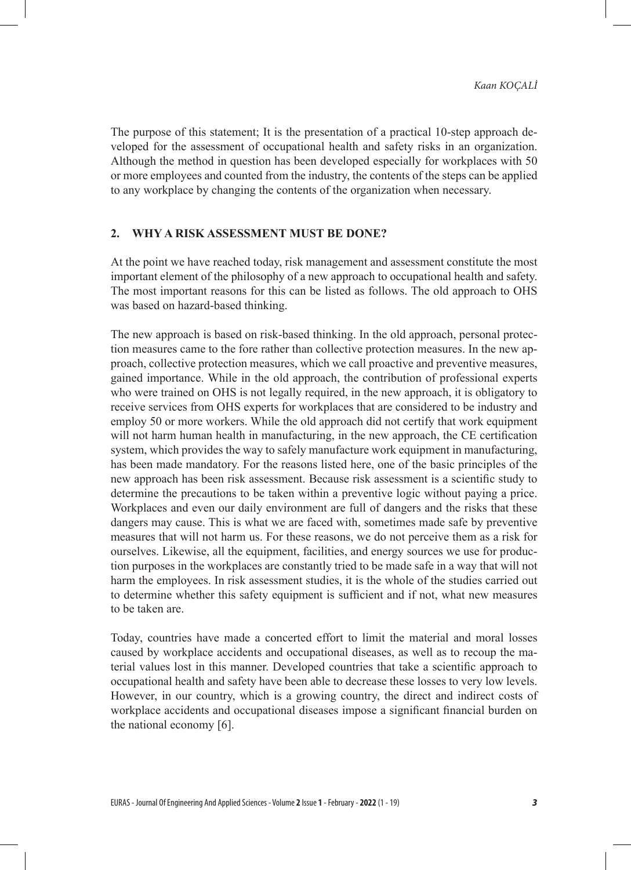The purpose of this statement; It is the presentation of a practical 10-step approach developed for the assessment of occupational health and safety risks in an organization. Although the method in question has been developed especially for workplaces with 50 or more employees and counted from the industry, the contents of the steps can be applied to any workplace by changing the contents of the organization when necessary.

#### **2. WHY A RISK ASSESSMENT MUST BE DONE?**

At the point we have reached today, risk management and assessment constitute the most important element of the philosophy of a new approach to occupational health and safety. The most important reasons for this can be listed as follows. The old approach to OHS was based on hazard-based thinking.

The new approach is based on risk-based thinking. In the old approach, personal protection measures came to the fore rather than collective protection measures. In the new approach, collective protection measures, which we call proactive and preventive measures, gained importance. While in the old approach, the contribution of professional experts who were trained on OHS is not legally required, in the new approach, it is obligatory to receive services from OHS experts for workplaces that are considered to be industry and employ 50 or more workers. While the old approach did not certify that work equipment will not harm human health in manufacturing, in the new approach, the CE certification system, which provides the way to safely manufacture work equipment in manufacturing, has been made mandatory. For the reasons listed here, one of the basic principles of the new approach has been risk assessment. Because risk assessment is a scientific study to determine the precautions to be taken within a preventive logic without paying a price. Workplaces and even our daily environment are full of dangers and the risks that these dangers may cause. This is what we are faced with, sometimes made safe by preventive measures that will not harm us. For these reasons, we do not perceive them as a risk for ourselves. Likewise, all the equipment, facilities, and energy sources we use for production purposes in the workplaces are constantly tried to be made safe in a way that will not harm the employees. In risk assessment studies, it is the whole of the studies carried out to determine whether this safety equipment is sufficient and if not, what new measures to be taken are.

Today, countries have made a concerted effort to limit the material and moral losses caused by workplace accidents and occupational diseases, as well as to recoup the material values lost in this manner. Developed countries that take a scientific approach to occupational health and safety have been able to decrease these losses to very low levels. However, in our country, which is a growing country, the direct and indirect costs of workplace accidents and occupational diseases impose a significant financial burden on the national economy [6].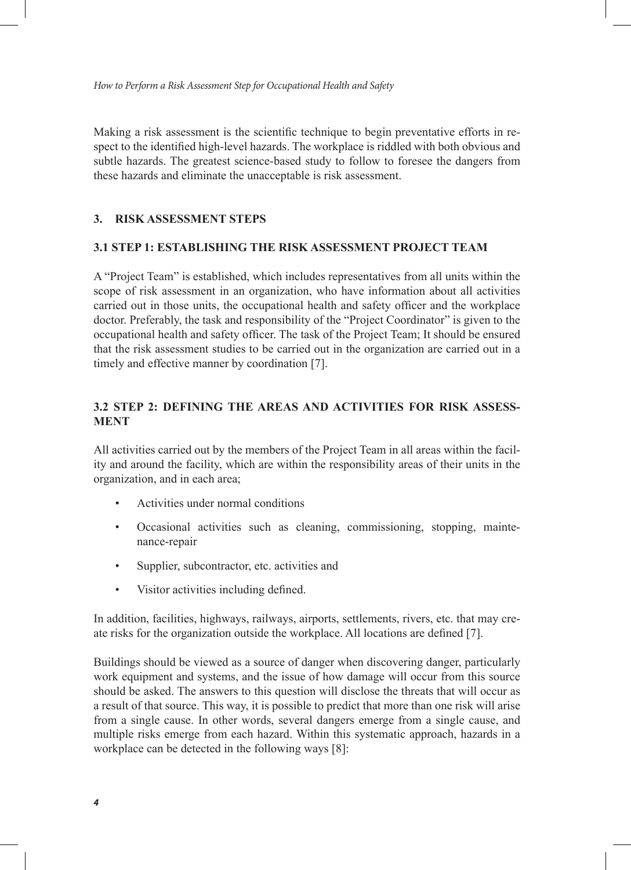Making a risk assessment is the scientific technique to begin preventative efforts in respect to the identified high-level hazards. The workplace is riddled with both obvious and subtle hazards. The greatest science-based study to follow to foresee the dangers from these hazards and eliminate the unacceptable is risk assessment.

#### **3. RISK ASSESSMENT STEPS**

#### **3.1 STEP 1: ESTABLISHING THE RISK ASSESSMENT PROJECT TEAM**

A "Project Team" is established, which includes representatives from all units within the scope of risk assessment in an organization, who have information about all activities carried out in those units, the occupational health and safety officer and the workplace doctor. Preferably, the task and responsibility of the "Project Coordinator" is given to the occupational health and safety officer. The task of the Project Team; It should be ensured that the risk assessment studies to be carried out in the organization are carried out in a timely and effective manner by coordination [7].

## **3.2 STEP 2: DEFINING THE AREAS AND ACTIVITIES FOR RISK ASSESS-MENT**

All activities carried out by the members of the Project Team in all areas within the facility and around the facility, which are within the responsibility areas of their units in the organization, and in each area;

- Activities under normal conditions
- Occasional activities such as cleaning, commissioning, stopping, maintenance-repair
- Supplier, subcontractor, etc. activities and
- Visitor activities including defined.

In addition, facilities, highways, railways, airports, settlements, rivers, etc. that may create risks for the organization outside the workplace. All locations are defined [7].

Buildings should be viewed as a source of danger when discovering danger, particularly work equipment and systems, and the issue of how damage will occur from this source should be asked. The answers to this question will disclose the threats that will occur as a result of that source. This way, it is possible to predict that more than one risk will arise from a single cause. In other words, several dangers emerge from a single cause, and multiple risks emerge from each hazard. Within this systematic approach, hazards in a workplace can be detected in the following ways [8]: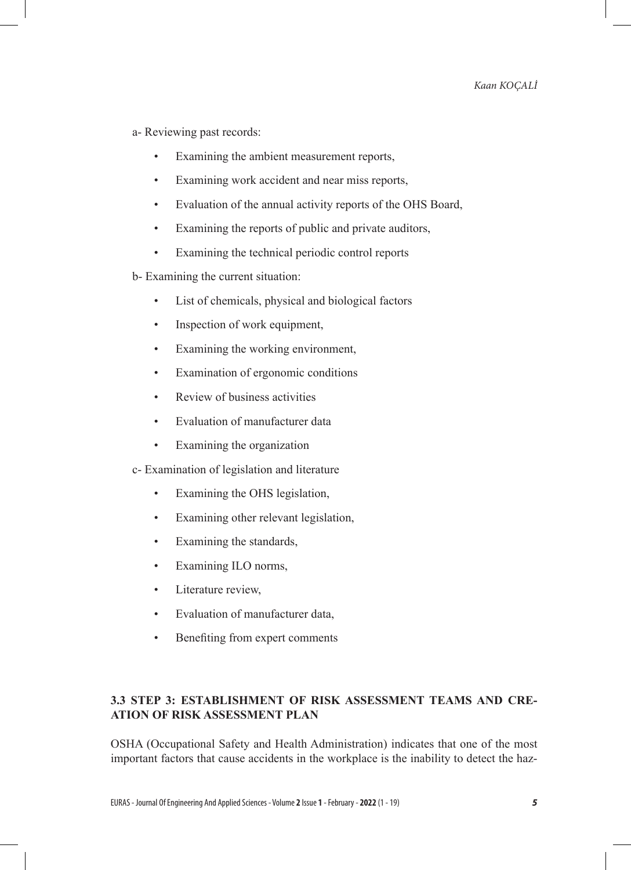a- Reviewing past records:

- Examining the ambient measurement reports,
- Examining work accident and near miss reports,
- Evaluation of the annual activity reports of the OHS Board,
- Examining the reports of public and private auditors,
- Examining the technical periodic control reports

b- Examining the current situation:

- List of chemicals, physical and biological factors
- Inspection of work equipment,
- Examining the working environment,
- Examination of ergonomic conditions
- Review of business activities
- Evaluation of manufacturer data
- Examining the organization

c- Examination of legislation and literature

- Examining the OHS legislation,
- Examining other relevant legislation,
- Examining the standards,
- Examining ILO norms,
- Literature review,
- Evaluation of manufacturer data,
- Benefiting from expert comments

## **3.3 STEP 3: ESTABLISHMENT OF RISK ASSESSMENT TEAMS AND CRE-ATION OF RISK ASSESSMENT PLAN**

OSHA (Occupational Safety and Health Administration) indicates that one of the most important factors that cause accidents in the workplace is the inability to detect the haz-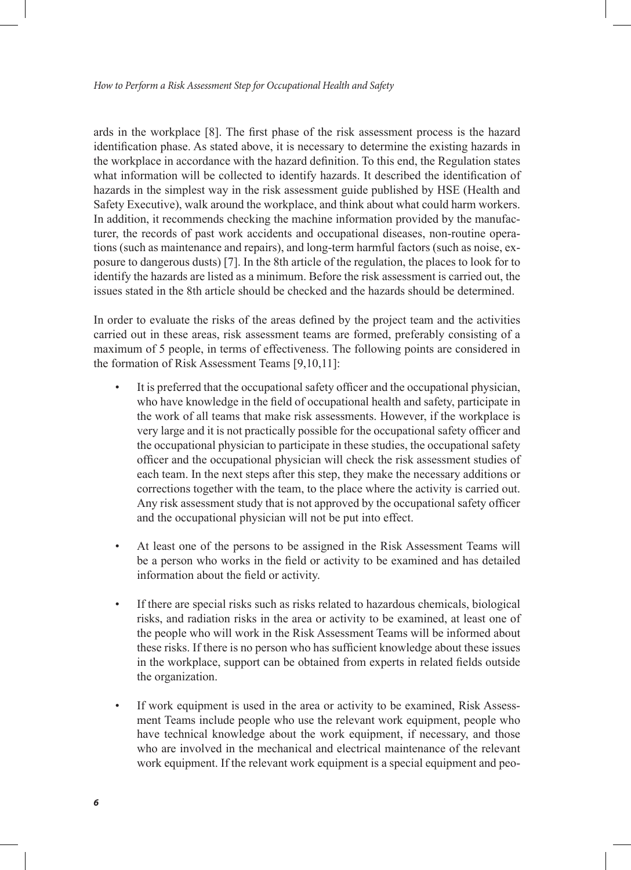ards in the workplace [8]. The first phase of the risk assessment process is the hazard identification phase. As stated above, it is necessary to determine the existing hazards in the workplace in accordance with the hazard definition. To this end, the Regulation states what information will be collected to identify hazards. It described the identification of hazards in the simplest way in the risk assessment guide published by HSE (Health and Safety Executive), walk around the workplace, and think about what could harm workers. In addition, it recommends checking the machine information provided by the manufacturer, the records of past work accidents and occupational diseases, non-routine operations (such as maintenance and repairs), and long-term harmful factors (such as noise, exposure to dangerous dusts) [7]. In the 8th article of the regulation, the places to look for to identify the hazards are listed as a minimum. Before the risk assessment is carried out, the issues stated in the 8th article should be checked and the hazards should be determined.

In order to evaluate the risks of the areas defined by the project team and the activities carried out in these areas, risk assessment teams are formed, preferably consisting of a maximum of 5 people, in terms of effectiveness. The following points are considered in the formation of Risk Assessment Teams [9,10,11]:

- It is preferred that the occupational safety officer and the occupational physician, who have knowledge in the field of occupational health and safety, participate in the work of all teams that make risk assessments. However, if the workplace is very large and it is not practically possible for the occupational safety officer and the occupational physician to participate in these studies, the occupational safety officer and the occupational physician will check the risk assessment studies of each team. In the next steps after this step, they make the necessary additions or corrections together with the team, to the place where the activity is carried out. Any risk assessment study that is not approved by the occupational safety officer and the occupational physician will not be put into effect.
- At least one of the persons to be assigned in the Risk Assessment Teams will be a person who works in the field or activity to be examined and has detailed information about the field or activity.
- If there are special risks such as risks related to hazardous chemicals, biological risks, and radiation risks in the area or activity to be examined, at least one of the people who will work in the Risk Assessment Teams will be informed about these risks. If there is no person who has sufficient knowledge about these issues in the workplace, support can be obtained from experts in related fields outside the organization.
- If work equipment is used in the area or activity to be examined, Risk Assessment Teams include people who use the relevant work equipment, people who have technical knowledge about the work equipment, if necessary, and those who are involved in the mechanical and electrical maintenance of the relevant work equipment. If the relevant work equipment is a special equipment and peo-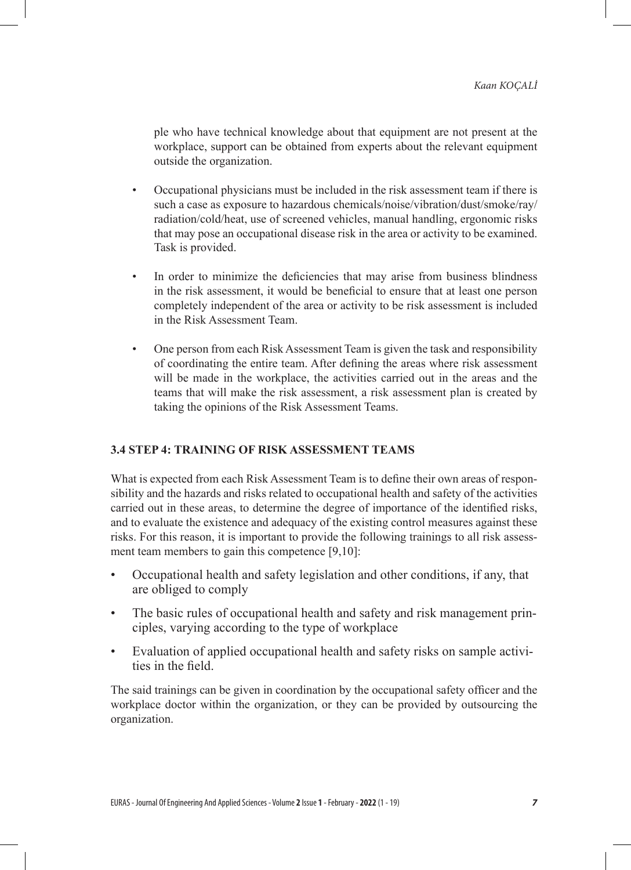ple who have technical knowledge about that equipment are not present at the workplace, support can be obtained from experts about the relevant equipment outside the organization.

- Occupational physicians must be included in the risk assessment team if there is such a case as exposure to hazardous chemicals/noise/vibration/dust/smoke/ray/ radiation/cold/heat, use of screened vehicles, manual handling, ergonomic risks that may pose an occupational disease risk in the area or activity to be examined. Task is provided.
- In order to minimize the deficiencies that may arise from business blindness in the risk assessment, it would be beneficial to ensure that at least one person completely independent of the area or activity to be risk assessment is included in the Risk Assessment Team.
- One person from each Risk Assessment Team is given the task and responsibility of coordinating the entire team. After defining the areas where risk assessment will be made in the workplace, the activities carried out in the areas and the teams that will make the risk assessment, a risk assessment plan is created by taking the opinions of the Risk Assessment Teams.

## **3.4 STEP 4: TRAINING OF RISK ASSESSMENT TEAMS**

What is expected from each Risk Assessment Team is to define their own areas of responsibility and the hazards and risks related to occupational health and safety of the activities carried out in these areas, to determine the degree of importance of the identified risks, and to evaluate the existence and adequacy of the existing control measures against these risks. For this reason, it is important to provide the following trainings to all risk assessment team members to gain this competence [9,10]:

- Occupational health and safety legislation and other conditions, if any, that are obliged to comply
- The basic rules of occupational health and safety and risk management principles, varying according to the type of workplace
- Evaluation of applied occupational health and safety risks on sample activities in the field.

The said trainings can be given in coordination by the occupational safety officer and the workplace doctor within the organization, or they can be provided by outsourcing the organization.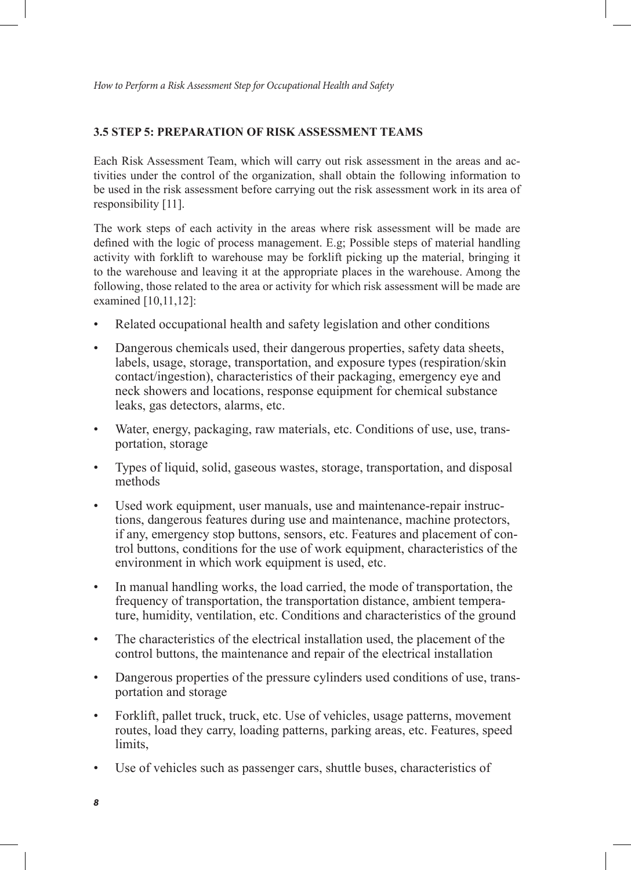## **3.5 STEP 5: PREPARATION OF RISK ASSESSMENT TEAMS**

Each Risk Assessment Team, which will carry out risk assessment in the areas and activities under the control of the organization, shall obtain the following information to be used in the risk assessment before carrying out the risk assessment work in its area of responsibility [11].

The work steps of each activity in the areas where risk assessment will be made are defined with the logic of process management. E.g; Possible steps of material handling activity with forklift to warehouse may be forklift picking up the material, bringing it to the warehouse and leaving it at the appropriate places in the warehouse. Among the following, those related to the area or activity for which risk assessment will be made are examined [10,11,12]:

- Related occupational health and safety legislation and other conditions
- Dangerous chemicals used, their dangerous properties, safety data sheets, labels, usage, storage, transportation, and exposure types (respiration/skin contact/ingestion), characteristics of their packaging, emergency eye and neck showers and locations, response equipment for chemical substance leaks, gas detectors, alarms, etc.
- Water, energy, packaging, raw materials, etc. Conditions of use, use, transportation, storage
- Types of liquid, solid, gaseous wastes, storage, transportation, and disposal methods
- Used work equipment, user manuals, use and maintenance-repair instructions, dangerous features during use and maintenance, machine protectors, if any, emergency stop buttons, sensors, etc. Features and placement of control buttons, conditions for the use of work equipment, characteristics of the environment in which work equipment is used, etc.
- In manual handling works, the load carried, the mode of transportation, the frequency of transportation, the transportation distance, ambient temperature, humidity, ventilation, etc. Conditions and characteristics of the ground
- The characteristics of the electrical installation used, the placement of the control buttons, the maintenance and repair of the electrical installation
- Dangerous properties of the pressure cylinders used conditions of use, transportation and storage
- Forklift, pallet truck, truck, etc. Use of vehicles, usage patterns, movement routes, load they carry, loading patterns, parking areas, etc. Features, speed limits.
- Use of vehicles such as passenger cars, shuttle buses, characteristics of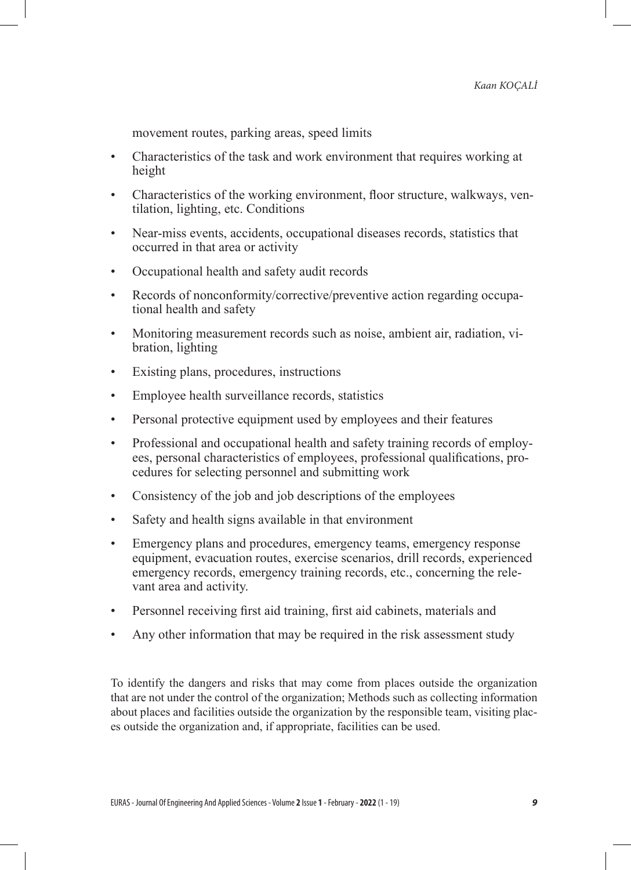movement routes, parking areas, speed limits

- Characteristics of the task and work environment that requires working at height
- Characteristics of the working environment, floor structure, walkways, ventilation, lighting, etc. Conditions
- Near-miss events, accidents, occupational diseases records, statistics that occurred in that area or activity
- Occupational health and safety audit records
- Records of nonconformity/corrective/preventive action regarding occupational health and safety
- Monitoring measurement records such as noise, ambient air, radiation, vibration, lighting
- Existing plans, procedures, instructions
- Employee health surveillance records, statistics
- Personal protective equipment used by employees and their features
- Professional and occupational health and safety training records of employees, personal characteristics of employees, professional qualifications, procedures for selecting personnel and submitting work
- Consistency of the job and job descriptions of the employees
- Safety and health signs available in that environment
- Emergency plans and procedures, emergency teams, emergency response equipment, evacuation routes, exercise scenarios, drill records, experienced emergency records, emergency training records, etc., concerning the relevant area and activity.
- Personnel receiving first aid training, first aid cabinets, materials and
- Any other information that may be required in the risk assessment study

To identify the dangers and risks that may come from places outside the organization that are not under the control of the organization; Methods such as collecting information about places and facilities outside the organization by the responsible team, visiting places outside the organization and, if appropriate, facilities can be used.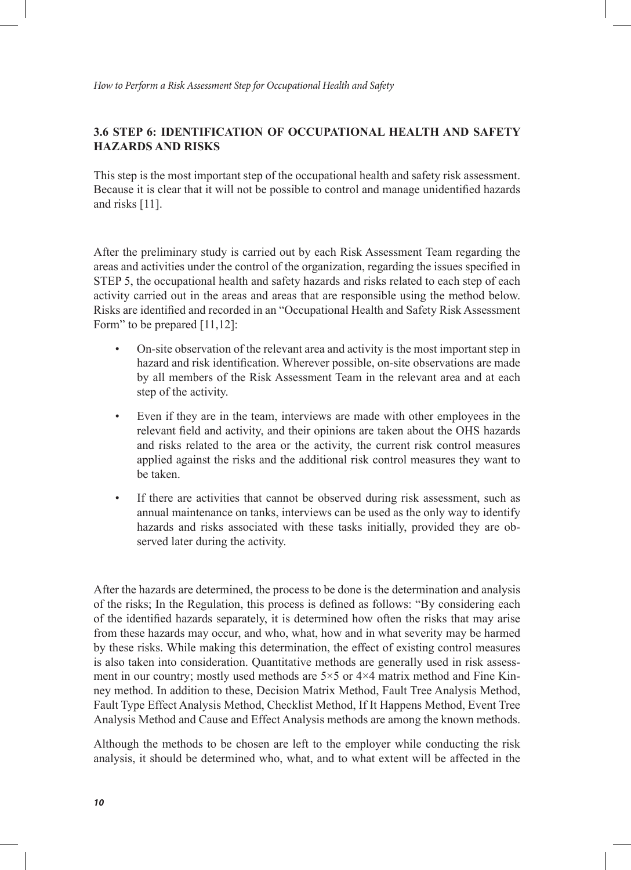## **3.6 STEP 6: IDENTIFICATION OF OCCUPATIONAL HEALTH AND SAFETY HAZARDS AND RISKS**

This step is the most important step of the occupational health and safety risk assessment. Because it is clear that it will not be possible to control and manage unidentified hazards and risks [11].

After the preliminary study is carried out by each Risk Assessment Team regarding the areas and activities under the control of the organization, regarding the issues specified in STEP 5, the occupational health and safety hazards and risks related to each step of each activity carried out in the areas and areas that are responsible using the method below. Risks are identified and recorded in an "Occupational Health and Safety Risk Assessment Form" to be prepared [11,12]:

- On-site observation of the relevant area and activity is the most important step in hazard and risk identification. Wherever possible, on-site observations are made by all members of the Risk Assessment Team in the relevant area and at each step of the activity.
- Even if they are in the team, interviews are made with other employees in the relevant field and activity, and their opinions are taken about the OHS hazards and risks related to the area or the activity, the current risk control measures applied against the risks and the additional risk control measures they want to be taken.
- If there are activities that cannot be observed during risk assessment, such as annual maintenance on tanks, interviews can be used as the only way to identify hazards and risks associated with these tasks initially, provided they are observed later during the activity.

After the hazards are determined, the process to be done is the determination and analysis of the risks; In the Regulation, this process is defined as follows: "By considering each of the identified hazards separately, it is determined how often the risks that may arise from these hazards may occur, and who, what, how and in what severity may be harmed by these risks. While making this determination, the effect of existing control measures is also taken into consideration. Quantitative methods are generally used in risk assessment in our country; mostly used methods are  $5\times 5$  or  $4\times 4$  matrix method and Fine Kinney method. In addition to these, Decision Matrix Method, Fault Tree Analysis Method, Fault Type Effect Analysis Method, Checklist Method, If It Happens Method, Event Tree Analysis Method and Cause and Effect Analysis methods are among the known methods.

Although the methods to be chosen are left to the employer while conducting the risk analysis, it should be determined who, what, and to what extent will be affected in the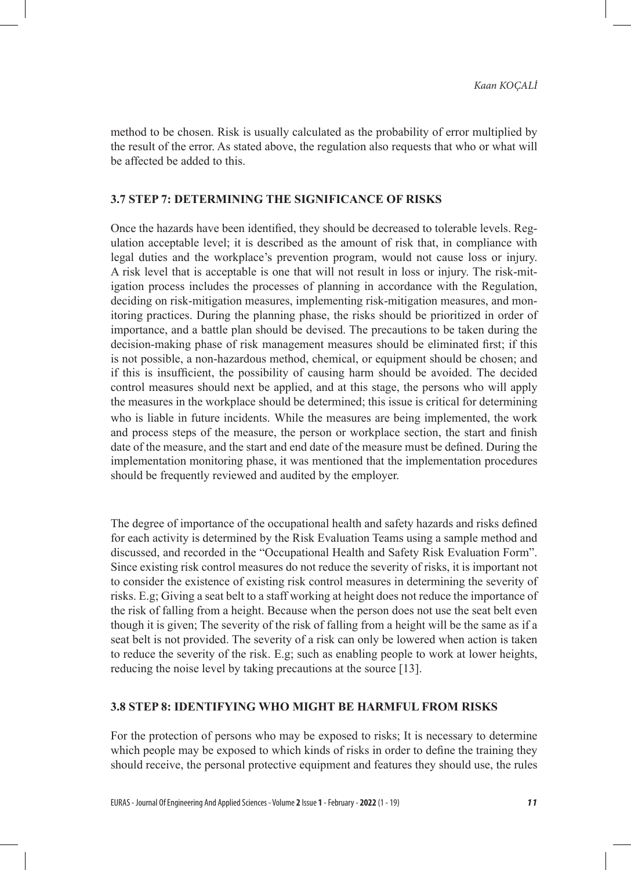method to be chosen. Risk is usually calculated as the probability of error multiplied by the result of the error. As stated above, the regulation also requests that who or what will be affected be added to this.

#### **3.7 STEP 7: DETERMINING THE SIGNIFICANCE OF RISKS**

Once the hazards have been identified, they should be decreased to tolerable levels. Regulation acceptable level; it is described as the amount of risk that, in compliance with legal duties and the workplace's prevention program, would not cause loss or injury. A risk level that is acceptable is one that will not result in loss or injury. The risk-mitigation process includes the processes of planning in accordance with the Regulation, deciding on risk-mitigation measures, implementing risk-mitigation measures, and monitoring practices. During the planning phase, the risks should be prioritized in order of importance, and a battle plan should be devised. The precautions to be taken during the decision-making phase of risk management measures should be eliminated first; if this is not possible, a non-hazardous method, chemical, or equipment should be chosen; and if this is insufficient, the possibility of causing harm should be avoided. The decided control measures should next be applied, and at this stage, the persons who will apply the measures in the workplace should be determined; this issue is critical for determining who is liable in future incidents. While the measures are being implemented, the work and process steps of the measure, the person or workplace section, the start and finish date of the measure, and the start and end date of the measure must be defined. During the implementation monitoring phase, it was mentioned that the implementation procedures should be frequently reviewed and audited by the employer.

The degree of importance of the occupational health and safety hazards and risks defined for each activity is determined by the Risk Evaluation Teams using a sample method and discussed, and recorded in the "Occupational Health and Safety Risk Evaluation Form". Since existing risk control measures do not reduce the severity of risks, it is important not to consider the existence of existing risk control measures in determining the severity of risks. E.g; Giving a seat belt to a staff working at height does not reduce the importance of the risk of falling from a height. Because when the person does not use the seat belt even though it is given; The severity of the risk of falling from a height will be the same as if a seat belt is not provided. The severity of a risk can only be lowered when action is taken to reduce the severity of the risk. E.g; such as enabling people to work at lower heights, reducing the noise level by taking precautions at the source [13].

#### **3.8 STEP 8: IDENTIFYING WHO MIGHT BE HARMFUL FROM RISKS**

For the protection of persons who may be exposed to risks; It is necessary to determine which people may be exposed to which kinds of risks in order to define the training they should receive, the personal protective equipment and features they should use, the rules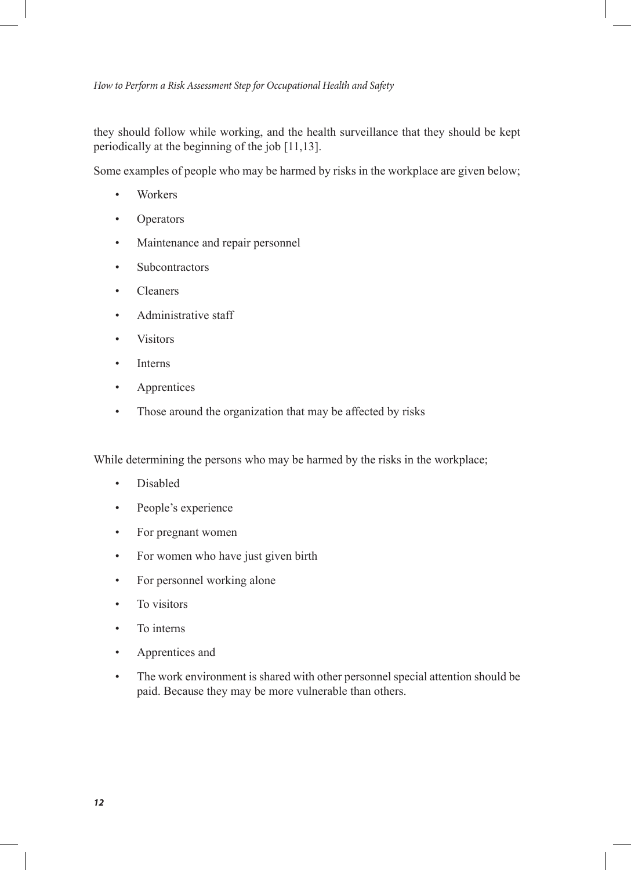they should follow while working, and the health surveillance that they should be kept periodically at the beginning of the job [11,13].

Some examples of people who may be harmed by risks in the workplace are given below;

- Workers
- **Operators**
- Maintenance and repair personnel
- **Subcontractors**
- Cleaners
- Administrative staff
- **Visitors**
- **Interns**
- **Apprentices**
- Those around the organization that may be affected by risks

While determining the persons who may be harmed by the risks in the workplace;

- Disabled
- People's experience
- For pregnant women
- For women who have just given birth
- For personnel working alone
- To visitors
- To interns
- Apprentices and
- The work environment is shared with other personnel special attention should be paid. Because they may be more vulnerable than others.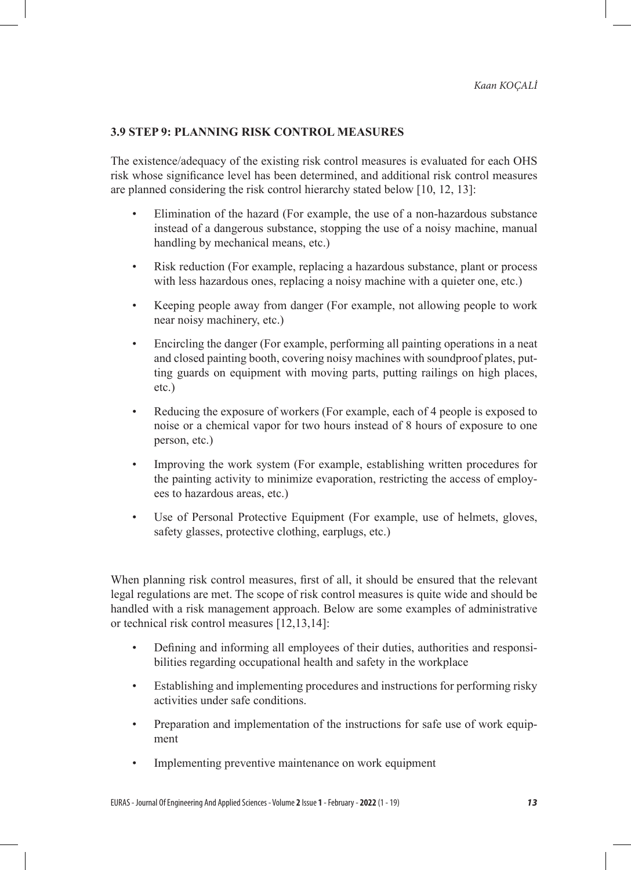## **3.9 STEP 9: PLANNING RISK CONTROL MEASURES**

The existence/adequacy of the existing risk control measures is evaluated for each OHS risk whose significance level has been determined, and additional risk control measures are planned considering the risk control hierarchy stated below [10, 12, 13]:

- Elimination of the hazard (For example, the use of a non-hazardous substance instead of a dangerous substance, stopping the use of a noisy machine, manual handling by mechanical means, etc.)
- Risk reduction (For example, replacing a hazardous substance, plant or process with less hazardous ones, replacing a noisy machine with a quieter one, etc.)
- Keeping people away from danger (For example, not allowing people to work near noisy machinery, etc.)
- Encircling the danger (For example, performing all painting operations in a neat and closed painting booth, covering noisy machines with soundproof plates, putting guards on equipment with moving parts, putting railings on high places, etc.)
- Reducing the exposure of workers (For example, each of 4 people is exposed to noise or a chemical vapor for two hours instead of 8 hours of exposure to one person, etc.)
- Improving the work system (For example, establishing written procedures for the painting activity to minimize evaporation, restricting the access of employees to hazardous areas, etc.)
- Use of Personal Protective Equipment (For example, use of helmets, gloves, safety glasses, protective clothing, earplugs, etc.)

When planning risk control measures, first of all, it should be ensured that the relevant legal regulations are met. The scope of risk control measures is quite wide and should be handled with a risk management approach. Below are some examples of administrative or technical risk control measures [12,13,14]:

- Defining and informing all employees of their duties, authorities and responsibilities regarding occupational health and safety in the workplace
- Establishing and implementing procedures and instructions for performing risky activities under safe conditions.
- Preparation and implementation of the instructions for safe use of work equipment
- Implementing preventive maintenance on work equipment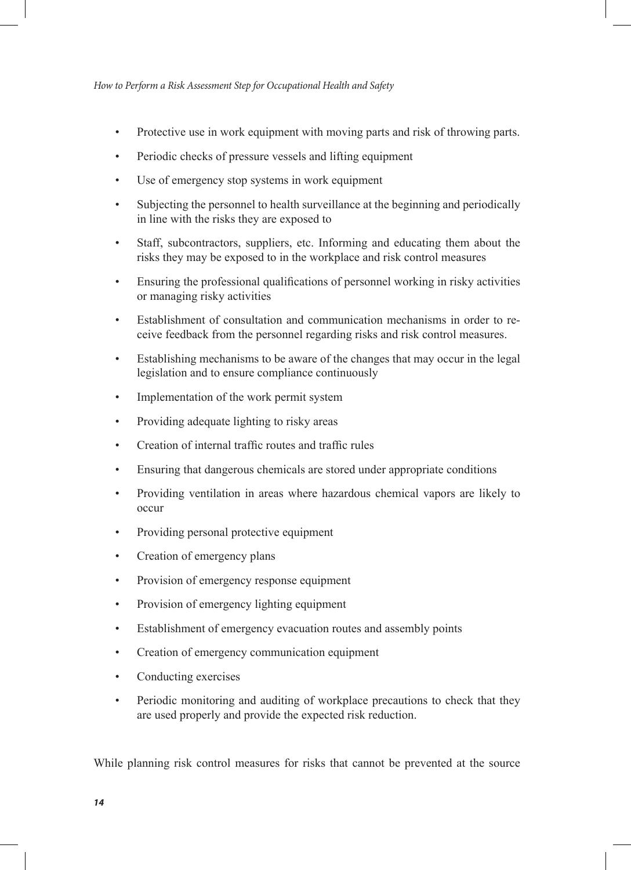- Protective use in work equipment with moving parts and risk of throwing parts.
- Periodic checks of pressure vessels and lifting equipment
- Use of emergency stop systems in work equipment
- Subjecting the personnel to health surveillance at the beginning and periodically in line with the risks they are exposed to
- Staff, subcontractors, suppliers, etc. Informing and educating them about the risks they may be exposed to in the workplace and risk control measures
- Ensuring the professional qualifications of personnel working in risky activities or managing risky activities
- Establishment of consultation and communication mechanisms in order to receive feedback from the personnel regarding risks and risk control measures.
- Establishing mechanisms to be aware of the changes that may occur in the legal legislation and to ensure compliance continuously
- Implementation of the work permit system
- Providing adequate lighting to risky areas
- Creation of internal traffic routes and traffic rules
- Ensuring that dangerous chemicals are stored under appropriate conditions
- Providing ventilation in areas where hazardous chemical vapors are likely to occur
- Providing personal protective equipment
- Creation of emergency plans
- Provision of emergency response equipment
- Provision of emergency lighting equipment
- Establishment of emergency evacuation routes and assembly points
- Creation of emergency communication equipment
- Conducting exercises
- Periodic monitoring and auditing of workplace precautions to check that they are used properly and provide the expected risk reduction.

While planning risk control measures for risks that cannot be prevented at the source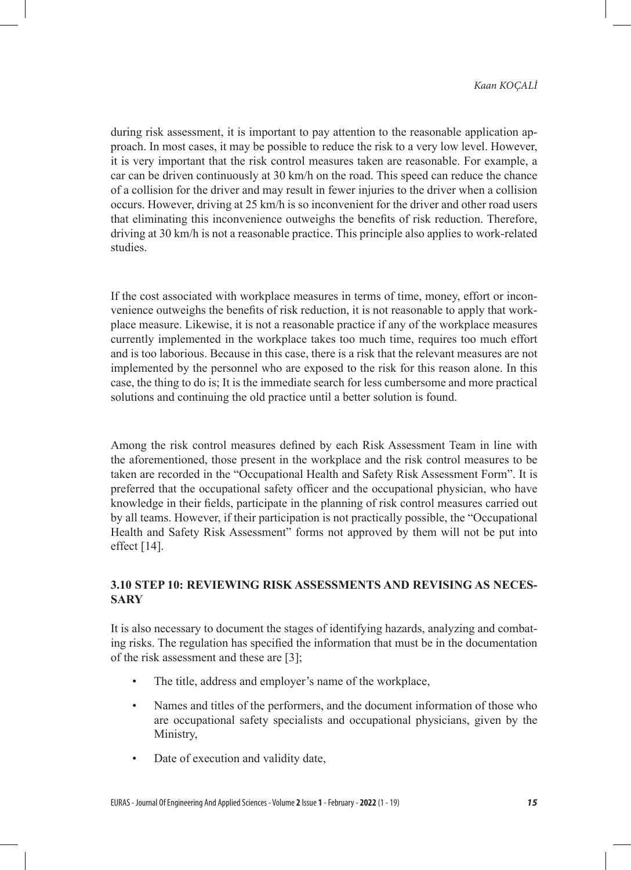during risk assessment, it is important to pay attention to the reasonable application approach. In most cases, it may be possible to reduce the risk to a very low level. However, it is very important that the risk control measures taken are reasonable. For example, a car can be driven continuously at 30 km/h on the road. This speed can reduce the chance of a collision for the driver and may result in fewer injuries to the driver when a collision occurs. However, driving at 25 km/h is so inconvenient for the driver and other road users that eliminating this inconvenience outweighs the benefits of risk reduction. Therefore, driving at 30 km/h is not a reasonable practice. This principle also applies to work-related studies.

If the cost associated with workplace measures in terms of time, money, effort or inconvenience outweighs the benefits of risk reduction, it is not reasonable to apply that workplace measure. Likewise, it is not a reasonable practice if any of the workplace measures currently implemented in the workplace takes too much time, requires too much effort and is too laborious. Because in this case, there is a risk that the relevant measures are not implemented by the personnel who are exposed to the risk for this reason alone. In this case, the thing to do is; It is the immediate search for less cumbersome and more practical solutions and continuing the old practice until a better solution is found.

Among the risk control measures defined by each Risk Assessment Team in line with the aforementioned, those present in the workplace and the risk control measures to be taken are recorded in the "Occupational Health and Safety Risk Assessment Form". It is preferred that the occupational safety officer and the occupational physician, who have knowledge in their fields, participate in the planning of risk control measures carried out by all teams. However, if their participation is not practically possible, the "Occupational Health and Safety Risk Assessment" forms not approved by them will not be put into effect [14].

## **3.10 STEP 10: REVIEWING RISK ASSESSMENTS AND REVISING AS NECES-SARY**

It is also necessary to document the stages of identifying hazards, analyzing and combating risks. The regulation has specified the information that must be in the documentation of the risk assessment and these are [3];

- The title, address and employer's name of the workplace,
- Names and titles of the performers, and the document information of those who are occupational safety specialists and occupational physicians, given by the Ministry,
- Date of execution and validity date,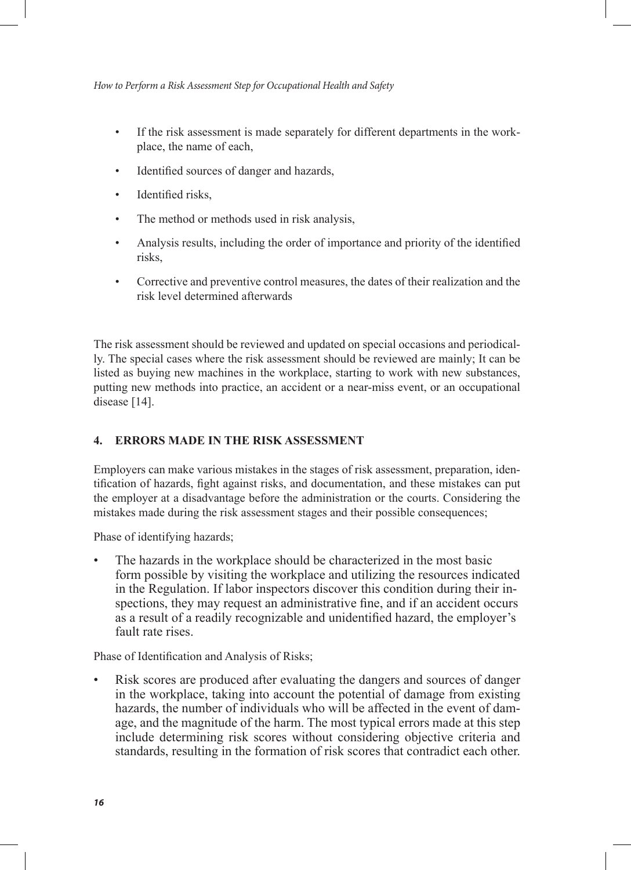- If the risk assessment is made separately for different departments in the workplace, the name of each,
- Identified sources of danger and hazards,
- Identified risks.
- The method or methods used in risk analysis,
- Analysis results, including the order of importance and priority of the identified risks,
- Corrective and preventive control measures, the dates of their realization and the risk level determined afterwards

The risk assessment should be reviewed and updated on special occasions and periodically. The special cases where the risk assessment should be reviewed are mainly; It can be listed as buying new machines in the workplace, starting to work with new substances, putting new methods into practice, an accident or a near-miss event, or an occupational disease [14].

## **4. ERRORS MADE IN THE RISK ASSESSMENT**

Employers can make various mistakes in the stages of risk assessment, preparation, identification of hazards, fight against risks, and documentation, and these mistakes can put the employer at a disadvantage before the administration or the courts. Considering the mistakes made during the risk assessment stages and their possible consequences;

Phase of identifying hazards;

The hazards in the workplace should be characterized in the most basic form possible by visiting the workplace and utilizing the resources indicated in the Regulation. If labor inspectors discover this condition during their inspections, they may request an administrative fine, and if an accident occurs as a result of a readily recognizable and unidentified hazard, the employer's fault rate rises.

Phase of Identification and Analysis of Risks;

• Risk scores are produced after evaluating the dangers and sources of danger in the workplace, taking into account the potential of damage from existing hazards, the number of individuals who will be affected in the event of damage, and the magnitude of the harm. The most typical errors made at this step include determining risk scores without considering objective criteria and standards, resulting in the formation of risk scores that contradict each other.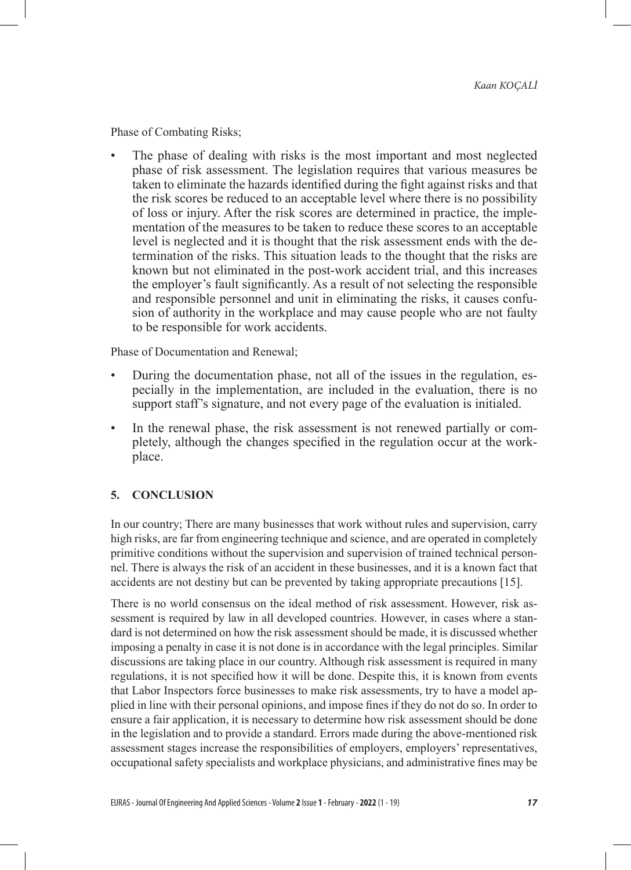Phase of Combating Risks;

The phase of dealing with risks is the most important and most neglected phase of risk assessment. The legislation requires that various measures be taken to eliminate the hazards identified during the fight against risks and that the risk scores be reduced to an acceptable level where there is no possibility of loss or injury. After the risk scores are determined in practice, the implementation of the measures to be taken to reduce these scores to an acceptable level is neglected and it is thought that the risk assessment ends with the determination of the risks. This situation leads to the thought that the risks are known but not eliminated in the post-work accident trial, and this increases the employer's fault significantly. As a result of not selecting the responsible and responsible personnel and unit in eliminating the risks, it causes confusion of authority in the workplace and may cause people who are not faulty to be responsible for work accidents.

Phase of Documentation and Renewal;

- During the documentation phase, not all of the issues in the regulation, especially in the implementation, are included in the evaluation, there is no support staff's signature, and not every page of the evaluation is initialed.
- In the renewal phase, the risk assessment is not renewed partially or completely, although the changes specified in the regulation occur at the workplace.

## **5. CONCLUSION**

In our country; There are many businesses that work without rules and supervision, carry high risks, are far from engineering technique and science, and are operated in completely primitive conditions without the supervision and supervision of trained technical personnel. There is always the risk of an accident in these businesses, and it is a known fact that accidents are not destiny but can be prevented by taking appropriate precautions [15].

There is no world consensus on the ideal method of risk assessment. However, risk assessment is required by law in all developed countries. However, in cases where a standard is not determined on how the risk assessment should be made, it is discussed whether imposing a penalty in case it is not done is in accordance with the legal principles. Similar discussions are taking place in our country. Although risk assessment is required in many regulations, it is not specified how it will be done. Despite this, it is known from events that Labor Inspectors force businesses to make risk assessments, try to have a model applied in line with their personal opinions, and impose fines if they do not do so. In order to ensure a fair application, it is necessary to determine how risk assessment should be done in the legislation and to provide a standard. Errors made during the above-mentioned risk assessment stages increase the responsibilities of employers, employers' representatives, occupational safety specialists and workplace physicians, and administrative fines may be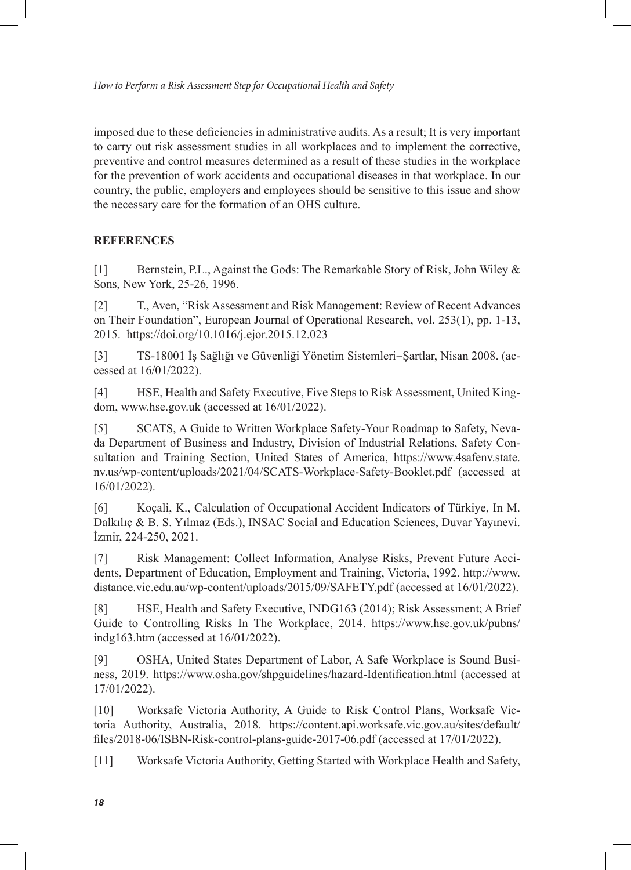imposed due to these deficiencies in administrative audits. As a result; It is very important to carry out risk assessment studies in all workplaces and to implement the corrective, preventive and control measures determined as a result of these studies in the workplace for the prevention of work accidents and occupational diseases in that workplace. In our country, the public, employers and employees should be sensitive to this issue and show the necessary care for the formation of an OHS culture.

#### **REFERENCES**

[1] Bernstein, P.L., Against the Gods: The Remarkable Story of Risk, John Wiley & Sons, New York, 25-26, 1996.

[2] T., Aven, "Risk Assessment and Risk Management: Review of Recent Advances on Their Foundation", European Journal of Operational Research, vol. 253(1), pp. 1-13, 2015. https://doi.org/10.1016/j.ejor.2015.12.023

[3] TS-18001 İş Sağlığı ve Güvenliği Yönetim Sistemleri-Şartlar, Nisan 2008. (accessed at 16/01/2022).

[4] HSE, Health and Safety Executive, Five Steps to Risk Assessment, United Kingdom, www.hse.gov.uk (accessed at 16/01/2022).

[5] SCATS, A Guide to Written Workplace Safety-Your Roadmap to Safety, Nevada Department of Business and Industry, Division of Industrial Relations, Safety Consultation and Training Section, United States of America, https://www.4safenv.state. nv.us/wp-content/uploads/2021/04/SCATS-Workplace-Safety-Booklet.pdf (accessed at 16/01/2022).

[6] Koçali, K., Calculation of Occupational Accident Indicators of Türkiye, In M. Dalkılıç & B. S. Yılmaz (Eds.), INSAC Social and Education Sciences, Duvar Yayınevi. İzmir, 224-250, 2021.

[7] Risk Management: Collect Information, Analyse Risks, Prevent Future Accidents, Department of Education, Employment and Training, Victoria, 1992. http://www. distance.vic.edu.au/wp-content/uploads/2015/09/SAFETY.pdf (accessed at 16/01/2022).

[8] HSE, Health and Safety Executive, INDG163 (2014); Risk Assessment; A Brief Guide to Controlling Risks In The Workplace, 2014. https://www.hse.gov.uk/pubns/ indg163.htm (accessed at 16/01/2022).

[9] OSHA, United States Department of Labor, A Safe Workplace is Sound Business, 2019. https://www.osha.gov/shpguidelines/hazard-Identification.html (accessed at 17/01/2022).

[10] Worksafe Victoria Authority, A Guide to Risk Control Plans, Worksafe Victoria Authority, Australia, 2018. https://content.api.worksafe.vic.gov.au/sites/default/ files/2018-06/ISBN-Risk-control-plans-guide-2017-06.pdf (accessed at 17/01/2022).

[11] Worksafe Victoria Authority, Getting Started with Workplace Health and Safety,